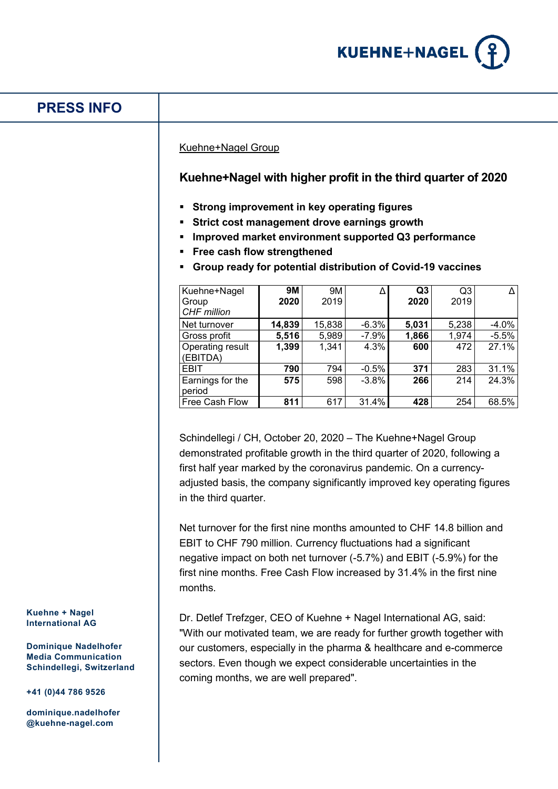

# **PRESS INFO**

### Kuehne+Nagel Group

### **Kuehne+Nagel with higher profit in the third quarter of 2020**

- **Strong improvement in key operating figures**
- **Strict cost management drove earnings growth**
- **Improved market environment supported Q3 performance**
- **Free cash flow strengthened**
- **Group ready for potential distribution of Covid-19 vaccines**

| Kuehne+Nagel<br>Group<br><b>CHF</b> million | <b>9M</b><br>2020 | 9M<br>2019 |          | Q <sub>3</sub><br>2020 | Q3<br>2019 |         |
|---------------------------------------------|-------------------|------------|----------|------------------------|------------|---------|
| Net turnover                                | 14,839            | 15,838     | $-6.3%$  | 5,031                  | 5,238      | $-4.0%$ |
| Gross profit                                | 5,516             | 5,989      | $-7.9\%$ | 1,866                  | 1,974      | $-5.5%$ |
| Operating result<br>(EBITDA)                | 1,399             | 1,341      | 4.3%     | 600                    | 472        | 27.1%   |
| <b>EBIT</b>                                 | 790               | 794        | $-0.5%$  | 371                    | 283        | 31.1%   |
| Earnings for the<br>period                  | 575               | 598        | $-3.8%$  | 266                    | 214        | 24.3%   |
| Free Cash Flow                              | 811               | 617        | 31.4%    | 428                    | 254        | 68.5%   |

Schindellegi / CH, October 20, 2020 – The Kuehne+Nagel Group demonstrated profitable growth in the third quarter of 2020, following a first half year marked by the coronavirus pandemic. On a currencyadjusted basis, the company significantly improved key operating figures in the third quarter.

Net turnover for the first nine months amounted to CHF 14.8 billion and EBIT to CHF 790 million. Currency fluctuations had a significant negative impact on both net turnover (-5.7%) and EBIT (-5.9%) for the first nine months. Free Cash Flow increased by 31.4% in the first nine months.

Dr. Detlef Trefzger, CEO of Kuehne + Nagel International AG, said: "With our motivated team, we are ready for further growth together with our customers, especially in the pharma & healthcare and e-commerce sectors. Even though we expect considerable uncertainties in the coming months, we are well prepared".

#### **Kuehne + Nagel International AG**

**Dominique Nadelhofer Media Communication Schindellegi, Switzerland**

**+41 (0)44 786 9526**

**dominique.nadelhofer @kuehne-nagel.com**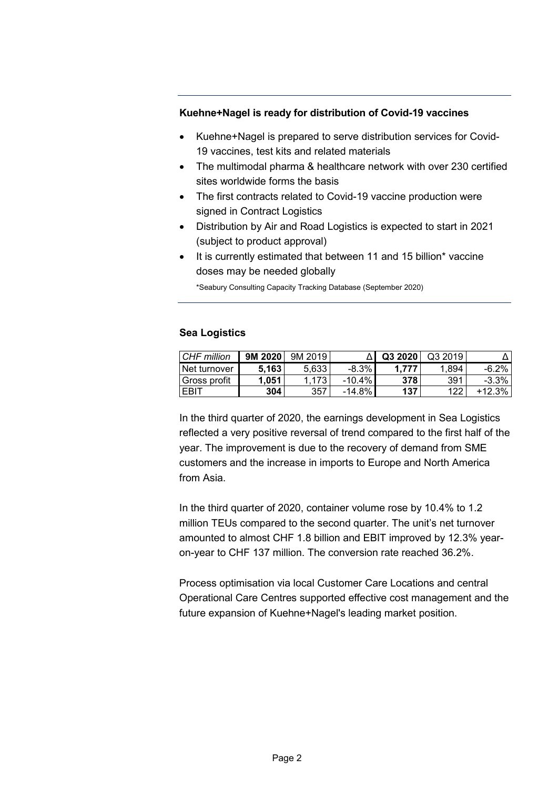# **Kuehne+Nagel is ready for distribution of Covid-19 vaccines**

- Kuehne+Nagel is prepared to serve distribution services for Covid-19 vaccines, test kits and related materials
- The multimodal pharma & healthcare network with over 230 certified sites worldwide forms the basis
- The first contracts related to Covid-19 vaccine production were signed in Contract Logistics
- Distribution by Air and Road Logistics is expected to start in 2021 (subject to product approval)
- It is currently estimated that between 11 and 15 billion\* vaccine doses may be needed globally

\*Seabury Consulting Capacity Tracking Database (September 2020)

# **Sea Logistics**

| CHF million  | 9M 2020 | 9M 2019 |           | Q3 2020 | Q3 2019 |          |
|--------------|---------|---------|-----------|---------|---------|----------|
| Net turnover | 5.163   | 5.633   | $-8.3%$   |         | 1.894   | $-6.2%$  |
| Gross profit | 1.051   | 1.173   | $-10.4\%$ | 378     | 391     | $-3.3%$  |
| - EBLL       | 304     | 357     | $-14.8%$  | 137     | 122     | $+12.3%$ |

In the third quarter of 2020, the earnings development in Sea Logistics reflected a very positive reversal of trend compared to the first half of the year. The improvement is due to the recovery of demand from SME customers and the increase in imports to Europe and North America from Asia.

In the third quarter of 2020, container volume rose by 10.4% to 1.2 million TEUs compared to the second quarter. The unit's net turnover amounted to almost CHF 1.8 billion and EBIT improved by 12.3% yearon-year to CHF 137 million. The conversion rate reached 36.2%.

Process optimisation via local Customer Care Locations and central Operational Care Centres supported effective cost management and the future expansion of Kuehne+Nagel's leading market position.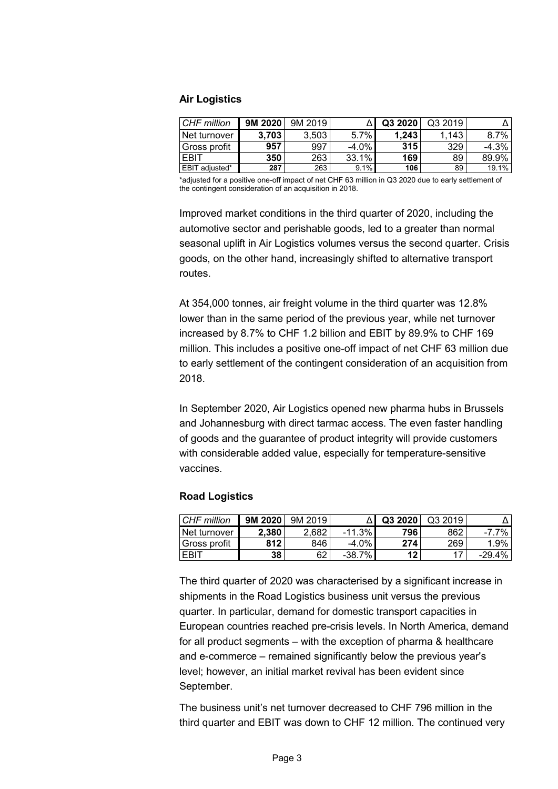### **Air Logistics**

| CHF million    | 9M 2020 | 9M 2019 |          | Q3 2020 | Q3 2019 |         |
|----------------|---------|---------|----------|---------|---------|---------|
| Net turnover   | 3.703   | 3.503   | 5.7%     | 1.243   | 1,143   | 8.7%    |
| l Gross profit | 957     | 997     | $-4.0\%$ | 315     | 329     | $-4.3%$ |
| <b>EBIT</b>    | 350     | 263     | 33.1%    | 169     | 89      | 89.9%   |
| EBIT adjusted* | 287     | 263     | 9.1%     | 106     | 89      | 19.1%   |

\*adjusted for a positive one-off impact of net CHF 63 million in Q3 2020 due to early settlement of the contingent consideration of an acquisition in 2018.

Improved market conditions in the third quarter of 2020, including the automotive sector and perishable goods, led to a greater than normal seasonal uplift in Air Logistics volumes versus the second quarter. Crisis goods, on the other hand, increasingly shifted to alternative transport routes.

At 354,000 tonnes, air freight volume in the third quarter was 12.8% lower than in the same period of the previous year, while net turnover increased by 8.7% to CHF 1.2 billion and EBIT by 89.9% to CHF 169 million. This includes a positive one-off impact of net CHF 63 million due to early settlement of the contingent consideration of an acquisition from 2018.

In September 2020, Air Logistics opened new pharma hubs in Brussels and Johannesburg with direct tarmac access. The even faster handling of goods and the guarantee of product integrity will provide customers with considerable added value, especially for temperature-sensitive vaccines.

### **Road Logistics**

| CHF million    | 9M 2020 | 9M 2019 |          | Q3 2020 | Q3 2019 |           |
|----------------|---------|---------|----------|---------|---------|-----------|
| ⊺Net turnover  | 2.380   | 2.682   | $-11.3%$ | 796     | 862     | -7.7%     |
| l Gross profit | 812     | 846     | $-4.0\%$ | 274     | 269     | 1.9%      |
| EBIT           | 38      | 62      | $-38.7%$ | 12      |         | $-29.4\%$ |

The third quarter of 2020 was characterised by a significant increase in shipments in the Road Logistics business unit versus the previous quarter. In particular, demand for domestic transport capacities in European countries reached pre-crisis levels. In North America, demand for all product segments – with the exception of pharma & healthcare and e-commerce – remained significantly below the previous year's level; however, an initial market revival has been evident since September.

The business unit's net turnover decreased to CHF 796 million in the third quarter and EBIT was down to CHF 12 million. The continued very